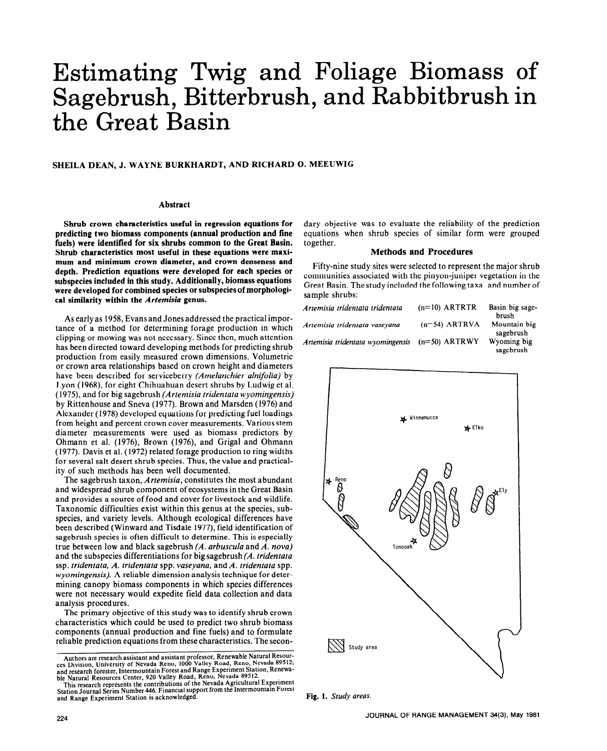# Estimating Twig and Foliage Biomass of Sagebrush, Bitterbrush, and Rabbitbrush in the Great Basin

## **SHEILA DEAN, J. WAYNE BURKHARDT, AND RICHARD 0. MEEUWIG**

### **Abstract**

**Shrub crown characteristics useful in regression equations for predicting two biomass components (annual production and fine fuels) were identified for six shrubs common to the Great Basin. Shrub characteristics most useful in these equations were maximum and minimum crown diameter, and crown denseness and depth. Prediction equations were developed for each species or subspecies included in this study. Additionally, biomass equations were developed for combined species or subspecies of morphological similarity within the** *Artemisiu* **genus.** 

As early as **1958,** Evans and Jones addressed the practical importance of a method for determining forage production in which clipping or mowing was not necessary. Since then, much attention has been directed toward developing methods for predicting shrub production from easily measured crown dimensions. Volumetric or crown area relationships based on crown height and diameters have been described for serviceberry *(Amelanchier alnifolia)* by Lyon (1968), for eight Chihuahuan desert shrubs by Ludwig et al. (1973, and for big sagebrush *(Artemisia tridentata wyomingensis)*  by Rittenhouse and Sneva (1977). Brown and Marsden (1976) and Alexander (1978) developed equations for predicting fuel loadings from height and percent crown cover measurements. Various stem diameter measurements were used as biomass predictors by Ohmann et al. (1976), Brown (1976), and Grigal and Ohmann (1977). Davis et al. (1972) related forage production to ring widths for several salt desert shrub species. Thus, the value and practicality of such methods has been well documented.

The sagebrush taxon, *Artemisia,* constitutes the most abundant and widespread shrub component of ecosystems in the Great Basin and provides a source of food and cover for livestock and wildlife. Taxonomic difficulties exist within this genus at the species, subspecies, and variety levels. Although ecological differences have been described (Winward and Tisdale 1977), field identification of sagebrush species is often difficult to determine. This is especially true between low and black sagebrush *(A. arbuscula* and *A. nova)*  and the subspecies differentiations for big sagebrush *(A. tridentata*  ssp. *tridentata, A. tridentata* spp. *vaseyana,* and *A. tridentata* spp. *wyomingensis).* A reliable dimension analysis technique for determining canopy biomass components in which species differences were not necessary would expedite field data collection and data analysis procedures.

The primary objective of this study was to identify shrub crown characteristics which could be used to predict two shrub biomass components (annual production and fine fuels) and to formulate reliable prediction equations from these characteristics. The secon-

dary objective was to evaluate the reliability of the prediction equations when shrub species of similar form were grouped together.

#### **Methods and Procedures**

Fifty-nine study sites were selected to represent the major shrub communities associated with the pinyon-juniper vegetation in the Great Basin. The study included the following taxa and number of sample shrubs:

| Artemisia tridentata tridentata   | $(n=10)$ ARTRTR | Basin big sage-<br>brush  |
|-----------------------------------|-----------------|---------------------------|
| Artemisia tridentata vaseyana     | $(n=54)$ ARTRVA | Mountain big<br>sagebrush |
| Artemisia tridentata wyomingensis | $(n=50)$ ARTRWY | Wyoming big<br>sagebrush  |



**Fig. 1.** *Study areas.* 

Authors are research assistant and assistant professor, Renewable Natural Resources Division, University of Nevada Reno, 1000 Valley Road, Reno, Nevada 89512;<br>and research forester, Intermountain Forest and Range Experimen

This research represents the contributions of the Nevada Agricultural Experiment Station **Journal Series Number 446.** Financial **support** from the IntermOUntain Forest and Range Experiment Station is acknowledged.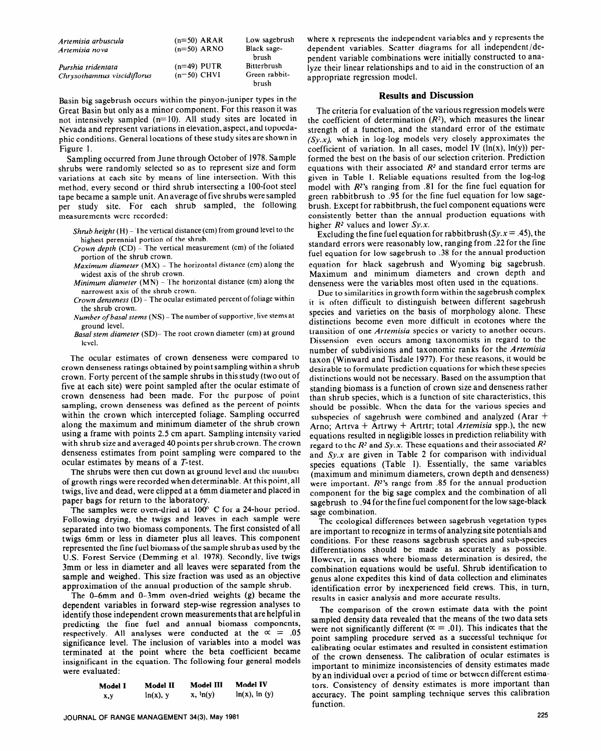| Artemisia arbuscula                               | $(n=50)$ ARAR                  | Low sagebrush                                         |
|---------------------------------------------------|--------------------------------|-------------------------------------------------------|
| Artemisia nova                                    | $(n=50)$ ARNO                  | Black sage-                                           |
| Purshia tridentata<br>Chrysothamnus viscidiflorus | $(n=49)$ PUTR<br>$(n=50)$ CHVI | brush<br><b>Bitterbrush</b><br>Green rabbit-<br>brush |

Basin big sagebrush occurs within the pinyon-juniper types in the Great Basin but only as a minor component. For this reason it was not intensively sampled  $(n=10)$ . All study sites are located in Nevada and represent variations in elevation, aspect, and topoedaphic conditions. General locations of these study sites are shown in Figure 1.

Sampling occurred from June through October of 1978. Sample shrubs were randomly selected so as to represent size and form variations at each site by means of line intersection. With this method, every second or third shrub intersecting a lOO-foot steel tape became a sample unit. An average of five shrubs were sampled per study site. For each shrub sampled, the following measurements were recorded:

- *Shrub height* (H) The vertical distance (cm) from ground level to the highest perennial portion of the shrub.
- Crown *depth* (CD) The vertical measurement (cm) of the foliated portion of the shrub crown.
- *Maximum diameter* (MX) The horizontal distance (cm) along the widest axis of the shrub crown.
- *Minimum diameter* (MN) The horizontal distance (cm) along the narrowest axis of the shrub crown.
- Crown denseness  $(D)$  The ocular estimated percent of foliage within the shrub crown.
- *Number of basal stems (NS) -The* number of supportive, live stems at ground level.

*Basal stem diameter* (SD)- The root crown diameter (cm) at ground level.

The ocular estimates of crown denseness were compared to crown denseness ratings obtained by point sampling within a shrub crown. Forty percent of the sample shrubs in this study (two out of five at each site) were point sampled after the ocular estimate of crown denseness had been made. For the purpose of point sampling, crown denseness was defined as the percent of points within the crown which intercepted foliage. Sampling occurred along the maximum and minimum diameter of the shrub crown using a frame with points 2.5 cm apart. Sampling intensity varied with shrub size and averaged 40 points per shrub crown. The crown denseness estimates from point sampling were compared to the ocular estimates by means of a T-test.

The shrubs were then cut down at ground level and the number of growth rings were recorded when determinable. At this point, all twigs, live and dead, were clipped at a 6mm diameter and placed in paper bags for return to the laboratory.

The samples were oven-dried at 100° C for a 24-hour period. Following drying, the twigs and leaves in each sample were separated into two biomass components. The first consisted of all twigs 6mm or less in diameter plus all leaves. This component represented the fine fuel biomass of the sample shrub as used by the U.S. Forest Service (Demming et al. 1978). Secondly, live twigs 3mm or less in diameter and all leaves were separated from the sample and weighed. This size fraction was used as an objective approximation of the annual production of the sample shrub.

The O-6mm and O-3mm oven-dried weights (g) became the dependent variables in forward step-wise regression analyses to identify those independent crown measurements that are helpful in predicting the fine fuel and annual biomass components, respectively. All analyses were conducted at the  $\infty = .05$ significance level. The inclusion of variables into a model was terminated at the point where the beta coefficient became insignificant in the equation. The following four general models were evaluated:

| Model I | Model II    | Model III   | Model IV          |
|---------|-------------|-------------|-------------------|
| x,y     | $ln(x)$ , y | $x, \ln(y)$ | $ln(x)$ , $ln(y)$ |

where x represents the independent variables and y represents the dependent variables. Scatter diagrams for all independent/dependent variable combinations were initially constructed to analyze their linear relationships and to aid in the construction of an appropriate regression model.

#### **Results and Discussion**

The criteria for evaluation of the various regression models were the coefficient of determination  $(R^2)$ , which measures the linear strength of a function, and the standard error of the estimate  $(Sy.x)$ , which in log-log models very closely approximates the coefficient of variation. In all cases, model IV (In(x), In(y)) performed the best on the basis of our selection criterion. Prediction equations with their associated  $R<sup>2</sup>$  and standard error terms are given in Table 1. Reliable equations resulted from the log-log model with  $R^2$ 's ranging from .81 for the fine fuel equation for green rabbitbrush to .95 for the fine fuel equation for low sagebrush. Except for rabbitbrush, the fuel component equations were consistently better than the annual production equations with higher  $R^2$  values and lower  $Sy.x$ .

Excluding the fine fuel equation for rabbitbrush ( $Sy.x = .45$ ), the standard errors were reasonably low, ranging from .22 for the fine fuel equation for low sagebrush to .38 for the annual production equation for black sagebrush and Wyoming big sagebrush. Maximum and minimum diameters and crown depth and denseness were the variables most often used in the equations.

Due to similarities in growth form within the sagebrush complex it is often difficult to distinguish between different sagebrush species and varieties on the basis of morphology alone. These distinctions become even more difficult in ecotones where the transition of one Artemisia species or variety to another occurs. Dissension even occurs among taxonomists in regard to the number of subdivisions and taxonomic ranks for the *Artemisia*  taxon (Winward and Tisdale 1977). For these reasons, it would be desirable to formulate prediction equations for which these species distinctions would not be necessary. Based on the assumption that standing biomass is a function of crown size and denseness rather than shrub species, which is a function of site characteristics, this should be possible. When the data for the various species and subspecies of sagebrush were combined and analyzed (Arar  $+$ Arno; Artrva + Artrwy + Artrtr; total *Artemisia* spp.), the new equations resulted in negligible losses in prediction reliability with regard to the  $R^2$  and  $Sy.x$ . These equations and their associated  $R^2$ and  $Sy.x$  are given in Table 2 for comparison with individual species equations (Table 1). Essentially, the same variables (maximum and minimum diameters, crown depth and denseness) were important. *R2's* range from .85 for the annual production component for the big sage complex and the combination of all sagebrush to .94 for the fine fuel component for the low sage-black sage combination.

The ecological differences between sagebrush vegetation types are important to recognize in terms of analyzing site potentials and conditions. For these reasons sagebrush species and sub-species differentiations should be made as accurately as possible. However, in cases where biomass determination is desired, the combination equations would be useful. Shrub identification to genus alone expedites this kind of data collection and eliminates identification error by inexperienced field crews. This, in turn, results in easier analysis and more accurate results.

The comparison of the crown estimate data with the point sampled density data revealed that the means of the two data sets were not significantly different ( $\alpha = .01$ ). This indicates that the point sampling procedure served as a successful technique for calibrating ocular estimates and resulted in consistent estimation of the crown denseness. The calibration of ocular estimates is important to minimize inconsistencies of density estimates made by an individual over a period of time or between different estimators. Consistency of density estimates is more important than tors. Consistency or density commutes to more imperium that accurac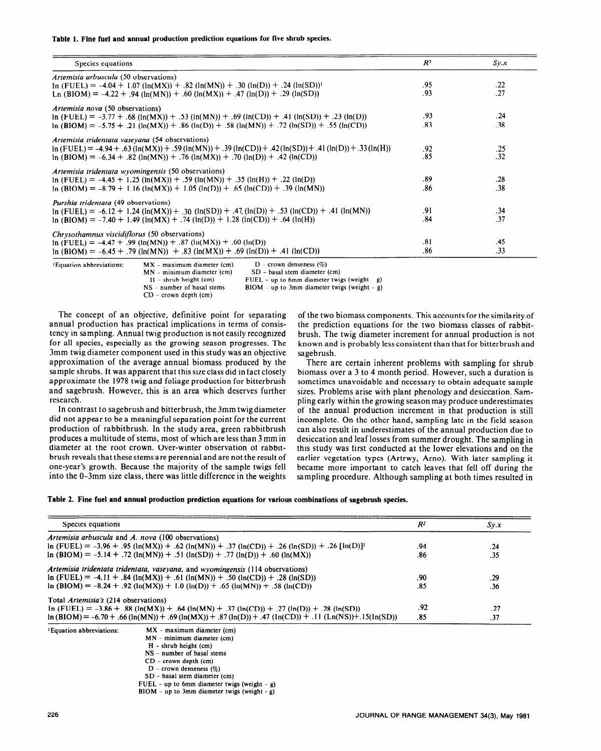**Table 1. Fine fuel and annual production prediction equations for five shrub species.** 

| Species equations                                                                                                        | R <sup>2</sup> | Sy.x |
|--------------------------------------------------------------------------------------------------------------------------|----------------|------|
| Artemisia arbuscula (50 observations)                                                                                    |                |      |
| $\ln$ (FUEL) = -4.04 + 1.07 ( $\ln(MX)$ ) + .82 ( $\ln(MN)$ ) + .30 ( $\ln(D)$ ) + .24 ( $\ln(SD)$ ) <sup>1</sup>        | .95            | .22  |
| Ln (BIOM) = -4.22 + .94 (ln(MN)) + .60 (ln(MX)) + .47 (ln(D)) + .29 (ln(SD))                                             | .93            | .27  |
| <i>Artemisia nova</i> (50 observations)                                                                                  |                |      |
| $\ln$ (FUEL) = -3.77 + .68 ( $\ln(MX)$ ) + .53 ( $\ln(MN)$ ) + .69 ( $\ln(CD)$ ) + .41 ( $\ln(SD)$ ) + .23 ( $\ln(D)$ )  | .93            | .24  |
| $\ln$ (BIOM) = -5.75 + .21 ( $\ln(MX)$ ) + .86 ( $\ln(D)$ ) + .58 ( $\ln(MN)$ ) + .72 ( $\ln(SD)$ ) + .55 ( $\ln(CD)$ )  | .83            | .38  |
| Artemisia tridentata vaseyana (54 observations)                                                                          |                |      |
| $ln (FUEL) = -4.94 + .63 (ln(MX)) + .59 (ln(MN)) + .39 (ln(CD)) + .42 (ln(SD)) + .41 (ln(D)) + .33 (ln(H))$              | .92            | .25  |
| $\ln$ (BIOM) = -6.34 + .82 ( $\ln(MN)$ ) + .76 ( $\ln(MX)$ ) + .70 ( $\ln(D)$ ) + .42 ( $\ln(CD)$ )                      | .85            | .32  |
| Artemisia tridentata wyomingensis (50 observations)                                                                      |                |      |
| $ln (FUEL) = -4.45 + 1.25 (ln(MX)) + .59 (ln(MN)) + .35 (ln(H)) + .22 (ln(D))$                                           | .89            | .28  |
| $ln (B IOM) = -8.79 + 1.16 (ln(MX)) + 1.05 (ln(D)) + .65 (ln(CD)) + .39 (ln(MN))$                                        | .86            | .38  |
| <i>Purshia tridentata</i> (49 observations)                                                                              |                |      |
| $\ln$ (FUEL) = -6.12 + 1.24 ( $\ln(MX)$ ) + .30 ( $\ln(SD)$ ) + .47 ( $\ln(D)$ ) + .53 ( $\ln(CD)$ ) + .41 ( $\ln(MN)$ ) | .91            | .34  |
| $\ln$ (BIOM) = -7.40 + 1.49 ( $\ln(MX)$ + .74 ( $\ln(D)$ ) + 1.28 ( $\ln(CD)$ ) + .64 ( $\ln(H)$ )                       | .84            | .37  |
| Chrysothamnus viscidiflorus (50 observations)                                                                            |                |      |
| $\ln$ (FUEL) = -4.47 + .99 ( $\ln(MN)$ ) + .87 ( $\ln(MX)$ ) + .60 ( $\ln(D)$ )                                          | .81            | .45  |
| $ln (B IOM) = -6.45 + .79 (ln(MN)) + .83 (ln(MX)) + .69 (ln(D)) + .41 (ln(CD))$                                          | .86            | .33  |

| Equation abbreviations: | $MX - maximum diameter (cm)$<br>$MN - minimum diameter (cm)$<br>$H - shrub height (cm)$ | $D$ – crown denseness $(\%)$<br>SD - basal stem diameter (cm)<br>FUEL - up to 6mm diameter twigs (weight - $g$ ) |
|-------------------------|-----------------------------------------------------------------------------------------|------------------------------------------------------------------------------------------------------------------|
|                         | $NS$ – number of basal stems<br>$CD$ – crown depth (cm)                                 | $B IOM - up to 3mm diameter twigs (weight - g)$                                                                  |

The concept of an objective, definitive point for separating annual production has practical implications in terms of consistency in sampling. Annual twig production is not easily recognized for all species, especially as the growing season progresses. The 3mm twig diameter component used in this study was an objective approximation of the average annual biomass produced by the sample shrubs. It was apparent that this size class did in fact closely approximate the 1978 twig and foliage production for bitterbrush and sagebrush. However, this is an area which deserves further research.

In contrast to sagebrush and bitterbrush, the 3mm twig diameter did not appear to be a meaningful separation point for the current production of rabbitbrush. In the study area, green rabbitbrush produces a multitude of stems, most of which are less than 3 mm in diameter at the root crown. Over-winter observation of rabbitbrush reveals that these stems are perennial and are not the result of one-year's growth. Because the majority of the sample twigs fell into the O-3mm size class, there was little difference in the weights of the two biomass components. This accounts for the similarity of the prediction equations for the two biomass classes of rabbitbrush. The twig diameter increment for annual production is not known and is probably less consistent than that for bitterbrush and sagebrush.

There are certain inherent problems with sampling for shrub biomass over a 3 to 4 month period. However, such a duration is sometimes unavoidable and necessary to obtain adequate sample sizes. Problems arise with plant phenology and desiccation. Sampling early within the growing season may produce underestimates of the annual production increment in that production is still incomplete. On the other hand, sampling late in the field season can also result in underestimates of the annual production due to desiccation and leaf losses from summer drought. The sampling in this study was first conducted at the lower elevations and on the earlier vegetation types (Artrwy, Arno). With later sampling it became more important to catch leaves that fell off during the sampling procedure. Although sampling at both times resulted in

|  | Table 2. Fine fuel and annual production prediction equations for various combinations of sagebrush species. |  |  |  |
|--|--------------------------------------------------------------------------------------------------------------|--|--|--|
|  |                                                                                                              |  |  |  |

| Species equations                                                                                                     |                                                                                                            | $R^2$ | Sy.x |
|-----------------------------------------------------------------------------------------------------------------------|------------------------------------------------------------------------------------------------------------|-------|------|
|                                                                                                                       | Artemisia arbuscula and A. nova (100 observations)                                                         |       |      |
| $\ln$ (FUEL) = -3.96 + .95 ( $\ln(MX)$ ) + .62 ( $\ln(MN)$ ) + .37 ( $\ln(CD)$ ) + .26 ( $\ln(SD)$ ) + .26 $\ln(D)$ ] |                                                                                                            |       | .24  |
|                                                                                                                       | $\ln(BIOM) = -5.14 + .72 (\ln(MN)) + .51 (\ln(SD)) + .77 (\ln(D)) + .60 (\ln(MX))$                         | .86   | .35  |
|                                                                                                                       | Artemisia tridentata tridentata, vaseyana, and wyomingensis (114 observations)                             |       |      |
|                                                                                                                       | $\ln$ (FUEL) = -4.11 + .84 ( $\ln(MX)$ ) + .61 ( $\ln(MN)$ ) + .50 ( $\ln(CD)$ ) + .28 ( $\ln(SD)$ )       | .90   | .29  |
|                                                                                                                       | $ln (B IOM) = -8.24 + .92 (ln(MX)) + 1.0 (ln(D)) + .65 (ln(MN)) + .58 (ln(CD))$                            | .85   | .36  |
| Total Artemisia's (214 observations)                                                                                  |                                                                                                            |       |      |
|                                                                                                                       | In (FUEL) = -3.86 + .88 (ln(MX)) + .64 (ln(MN) + .37 (ln(CD)) + .27 (ln(D)) + .28 (ln(SD))                 | .92   | .27  |
|                                                                                                                       | $ln(BIOM) = -6.70 + .66 (ln(MN)) + .69 (ln(MX)) + .87 (ln(D)) + .47 (ln(CD)) + .11 (Ln(NS)) + .15(ln(SD))$ | .85   | .37  |
| <i><b>Equation abbreviations:</b></i>                                                                                 | $MX - maximum diameter (cm)$                                                                               |       |      |
|                                                                                                                       | $MN - minimum diameter (cm)$                                                                               |       |      |
|                                                                                                                       | $H -$ shrub height (cm)                                                                                    |       |      |
|                                                                                                                       | NS – number of basal stems                                                                                 |       |      |
|                                                                                                                       | $CD$ – crown depth (cm)                                                                                    |       |      |
|                                                                                                                       | $D$ – crown denseness $(\%)$                                                                               |       |      |
|                                                                                                                       | $SD - basal$ stem diameter (cm)                                                                            |       |      |
|                                                                                                                       | FUEL - up to 6mm diameter twigs (weight - g)                                                               |       |      |
|                                                                                                                       | $B IOM - up to 3mm diameter twigs (weight - g)$                                                            |       |      |